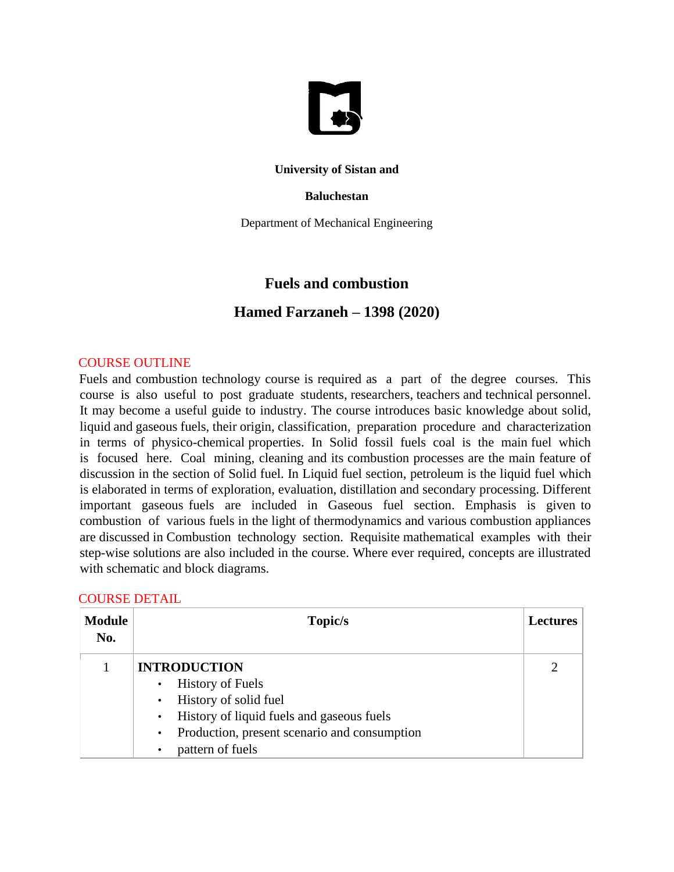

### **University of Sistan and**

#### **Baluchestan**

Department of Mechanical Engineering

# **Fuels and combustion**

## **Hamed Farzaneh – 1398 (2020)**

#### COURSE OUTLINE

Fuels and combustion technology course is required as a part of the degree courses. This course is also useful to post graduate students, researchers, teachers and technical personnel. It may become a useful guide to industry. The course introduces basic knowledge about solid, liquid and gaseous fuels, their origin, classification, preparation procedure and characterization in terms of physico-chemical properties. In Solid fossil fuels coal is the main fuel which is focused here. Coal mining, cleaning and its combustion processes are the main feature of discussion in the section of Solid fuel. In Liquid fuel section, petroleum is the liquid fuel which is elaborated in terms of exploration, evaluation, distillation and secondary processing. Different important gaseous fuels are included in Gaseous fuel section. Emphasis is given to combustion of various fuels in the light of thermodynamics and various combustion appliances are discussed in Combustion technology section. Requisite mathematical examples with their step-wise solutions are also included in the course. Where ever required, concepts are illustrated with schematic and block diagrams.

| <b>COURSE DETAIL</b> |
|----------------------|
|                      |

| <b>Module</b><br>No. | Topic/s                                                                                                                                                                                                                                                   | <b>Lectures</b> |
|----------------------|-----------------------------------------------------------------------------------------------------------------------------------------------------------------------------------------------------------------------------------------------------------|-----------------|
|                      | <b>INTRODUCTION</b><br><b>History of Fuels</b><br>$\bullet$<br>History of solid fuel<br>$\bullet$<br>History of liquid fuels and gaseous fuels<br>$\bullet$<br>Production, present scenario and consumption<br>$\bullet$<br>pattern of fuels<br>$\bullet$ |                 |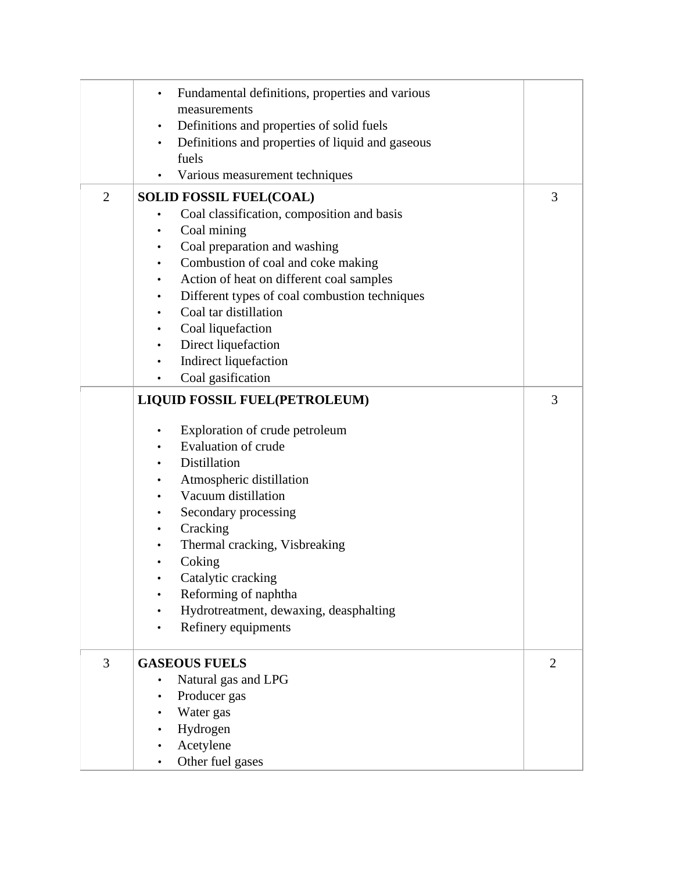|                | Fundamental definitions, properties and various        |   |
|----------------|--------------------------------------------------------|---|
|                | measurements                                           |   |
|                | Definitions and properties of solid fuels<br>$\bullet$ |   |
|                | Definitions and properties of liquid and gaseous<br>٠  |   |
|                | fuels                                                  |   |
|                | Various measurement techniques                         |   |
| $\overline{2}$ | <b>SOLID FOSSIL FUEL(COAL)</b>                         | 3 |
|                | Coal classification, composition and basis<br>٠        |   |
|                | Coal mining<br>$\bullet$                               |   |
|                | Coal preparation and washing<br>$\bullet$              |   |
|                | Combustion of coal and coke making                     |   |
|                | Action of heat on different coal samples<br>٠          |   |
|                | Different types of coal combustion techniques<br>٠     |   |
|                | Coal tar distillation<br>$\bullet$                     |   |
|                | Coal liquefaction                                      |   |
|                | Direct liquefaction<br>$\bullet$                       |   |
|                | Indirect liquefaction<br>$\bullet$                     |   |
|                | Coal gasification<br>$\bullet$                         |   |
|                | <b>LIQUID FOSSIL FUEL(PETROLEUM)</b>                   | 3 |
|                |                                                        |   |
|                | Exploration of crude petroleum<br>٠                    |   |
|                | <b>Evaluation of crude</b>                             |   |
|                | Distillation                                           |   |
|                | Atmospheric distillation<br>$\bullet$                  |   |
|                | Vacuum distillation                                    |   |
|                | Secondary processing                                   |   |
|                | Cracking<br>٠                                          |   |
|                | Thermal cracking, Visbreaking<br>$\bullet$             |   |
|                | Coking<br>$\bullet$                                    |   |
|                | Catalytic cracking                                     |   |
|                | Reforming of naphtha                                   |   |
|                | Hydrotreatment, dewaxing, deasphalting                 |   |
|                | Refinery equipments                                    |   |
| 3              | <b>GASEOUS FUELS</b>                                   | 2 |
|                | Natural gas and LPG                                    |   |
|                | Producer gas                                           |   |
|                | Water gas                                              |   |
|                | Hydrogen                                               |   |
|                | Acetylene                                              |   |
|                | Other fuel gases                                       |   |